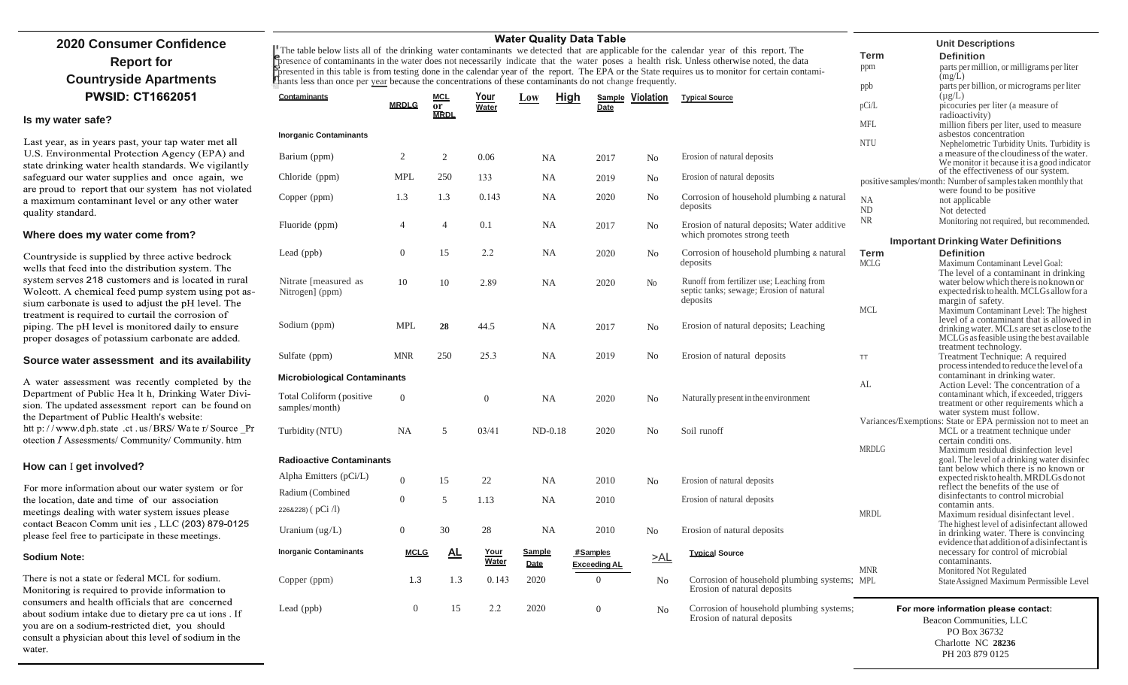### **2020 Consumer Confidence Report for Countryside Apartments PWSID: CT1662051**

**Is my water safe?**

Last year, as in years past, your tap water met all U.S. Environmental Protection Agency (EPA) and state drinking water health standards. We vigilantly safeguard our water supplies and once again, we are proud to report that our system has not violated a maximum contaminant level or any other water quality standard.

#### **Where does my water come from?**

Countryside is supplied by three active bedrock wells that feed into the distribution system. The system serves 218 customers and is located in rural Wolcott. A chemical feed pump system using pot assium carbonate is used to adjust the pH level. The treatment is required to curtail the corrosion of piping. The pH level is monitored daily to ensure proper dosages of potassium carbonate are added.

#### **Source water assessment and its availability**

A water assessment was recently completed by the Department of Public Hea lt h, Drinking Water Division. The updated assessment report can be found on the Department of Public Health's website: htt p://www.dph.state.ct.us/BRS/Water/Source Pr otection I Assessments/ Community/ Community. htm

#### **How can** I **get involved?**

For more information about our water system or for the location, date and time of our association meetings dealing with water system issues please contact Beacon Comm unit ies, LLC (203) 879-0125 please feel free to participate in these meetings.

#### **Sodium Note:**

There is not a state or federal MCL for sodium. Monitoring is required to provide information to consumers and health officials that are concerned about sodium intake due to dietary pre ca ut ions. If you are on a sodium-restricted diet, you should consult a physician about this level of sodium in the water.

| Vater Quality Data Table |  |  |
|--------------------------|--|--|
|--------------------------|--|--|

The table below lists all of the drinking water contaminants we detected that are applicable for the calendar year of this report. The **Presence of contaminants in the water does not necessarily indicate that the water poses a health risk. Unless otherwise noted, the data** presented in this table is from testing done in the calendar year of the report. The EPA or the State requires us to monitor for certain contaminants less than once per year because the concentrations of these contaminants do not change frequently.

| Contaminants                               |                  | <b>MCL</b>               | Your           | <b>High</b><br>Low    |                                 | Sample Violation | <b>Typical Source</b>                                                                             |                                  |
|--------------------------------------------|------------------|--------------------------|----------------|-----------------------|---------------------------------|------------------|---------------------------------------------------------------------------------------------------|----------------------------------|
|                                            | <b>MRDLG</b>     | <b>or</b><br><b>MRDL</b> | Water          |                       | Date                            |                  |                                                                                                   | pCi/L                            |
| <b>Inorganic Contaminants</b>              |                  |                          |                |                       |                                 |                  |                                                                                                   | <b>MFL</b>                       |
| Barium (ppm)                               | 2                | 2                        | 0.06           | <b>NA</b>             | 2017                            | No               | Erosion of natural deposits                                                                       | <b>NTU</b>                       |
| Chloride (ppm)                             | <b>MPL</b>       | 250                      | 133            | NA                    | 2019                            | N <sub>0</sub>   | Erosion of natural deposits                                                                       | positive sai                     |
| Copper (ppm)                               | 1.3              | 1.3                      | 0.143          | <b>NA</b>             | 2020                            | No               | Corrosion of household plumbing & natural<br>deposits                                             | <b>NA</b><br><b>ND</b>           |
| Fluoride (ppm)                             | 4                | $\overline{4}$           | 0.1            | NA                    | 2017                            | No               | Erosion of natural deposits; Water additive<br>which promotes strong teeth                        | NR                               |
| Lead (ppb)                                 | $\boldsymbol{0}$ | 15                       | 2.2            | NA                    | 2020                            | No               | Corrosion of household plumbing & natural<br>deposits                                             | In<br><b>Term</b><br><b>MCLG</b> |
| Nitrate [measured as<br>Nitrogen] (ppm)    | 10               | 10                       | 2.89           | <b>NA</b>             | 2020                            | No               | Runoff from fertilizer use; Leaching from<br>septic tanks; sewage; Erosion of natural<br>deposits |                                  |
| Sodium (ppm)                               | <b>MPL</b>       | 28                       | 44.5           | NA                    | 2017                            | No               | Erosion of natural deposits; Leaching                                                             | <b>MCL</b>                       |
| Sulfate (ppm)                              | <b>MNR</b>       | 250                      | 25.3           | NA                    | 2019                            | N <sub>0</sub>   | Erosion of natural deposits                                                                       | <b>TT</b>                        |
| <b>Microbiological Contaminants</b>        |                  |                          |                |                       |                                 |                  |                                                                                                   | AL                               |
| Total Coliform (positive<br>samples/month) | $\theta$         |                          | $\overline{0}$ | <b>NA</b>             | 2020                            | No               | Naturally present in the environment                                                              |                                  |
| Turbidity (NTU)                            | <b>NA</b>        | 5                        | 03/41          | $ND-0.18$             | 2020                            | No               | Soil runoff                                                                                       | Variances/                       |
| <b>Radioactive Contaminants</b>            |                  |                          |                |                       |                                 |                  |                                                                                                   | <b>MRDLG</b>                     |
| Alpha Emitters (pCi/L)                     | $\boldsymbol{0}$ | 15                       | 22             | NA                    | 2010                            | N <sub>0</sub>   | Erosion of natural deposits                                                                       |                                  |
| Radium (Combined<br>226&228) (pCi/l)       | $\mathbf{0}$     | 5                        | 1.13           | <b>NA</b>             | 2010                            |                  | Erosion of natural deposits                                                                       | <b>MRDL</b>                      |
| Uranium $(ug/L)$                           | $\boldsymbol{0}$ | 30                       | 28             | NA                    | 2010                            | N <sub>0</sub>   | Erosion of natural deposits                                                                       |                                  |
| <b>Inorganic Contaminants</b>              | <b>MCLG</b>      | <u>AL</u>                | Your<br>Water  | <b>Sample</b><br>Date | #Samples<br><b>Exceeding AL</b> | >AL              | <b>Typical Source</b>                                                                             |                                  |
| Copper (ppm)                               | 1.3              | 1.3                      | 0.143          | 2020                  | $\overline{0}$                  | No               | Corrosion of household plumbing systems; MPL<br>Erosion of natural deposits                       | <b>MNR</b>                       |
| Lead (ppb)                                 | $\boldsymbol{0}$ | 15                       | 2.2            | 2020                  | $\overline{0}$                  | N <sub>0</sub>   | Corrosion of household plumbing systems;<br>Erosion of natural deposits                           |                                  |
|                                            |                  |                          |                |                       |                                 |                  |                                                                                                   |                                  |

**Unit Descriptions**

| <b>Term</b>     | <b>Definition</b>                                                                                                                                                               |
|-----------------|---------------------------------------------------------------------------------------------------------------------------------------------------------------------------------|
| ppm             | parts per million, or milligrams per liter<br>(mg/L)                                                                                                                            |
| ppb             | parts per billion, or micrograms per liter<br>$(\mu g/L)$                                                                                                                       |
| pCi/L           | picocuries per liter (a measure of                                                                                                                                              |
| MFL.            | radioactivity)<br>million fibers per liter, used to measure<br>asbestos concentration                                                                                           |
| NTU             | Nephelometric Turbidity Units. Turbidity is<br>a measure of the cloudiness of the water.<br>We monitor it because it is a good indicator<br>of the effectiveness of our system. |
|                 | positive samples/month: Number of samples taken monthly that<br>were found to be positive                                                                                       |
| NА<br>ND<br>NR. | not applicable<br>Not detected<br>Monitoring not required, but recommended.                                                                                                     |

#### **Important Drinking Water Definitions**

| Term                                 | <b>Definition</b>                                                            |  |  |  |  |
|--------------------------------------|------------------------------------------------------------------------------|--|--|--|--|
| <b>MCLG</b>                          | Maximum Contaminant Level Goal:                                              |  |  |  |  |
|                                      | The level of a contaminant in drinking                                       |  |  |  |  |
|                                      | water below which there is no known or                                       |  |  |  |  |
|                                      | expected risk to health. MCLGs allow for a                                   |  |  |  |  |
|                                      | margin of safety.                                                            |  |  |  |  |
| MCL                                  | Maximum Contaminant Level: The highest                                       |  |  |  |  |
|                                      | level of a contaminant that is allowed in                                    |  |  |  |  |
|                                      | drinking water. MCLs are set as close to the                                 |  |  |  |  |
|                                      | MCLGs as feasible using the best available                                   |  |  |  |  |
|                                      | treatment technology.                                                        |  |  |  |  |
| TT                                   | Treatment Technique: A required                                              |  |  |  |  |
|                                      | process intended to reduce the level of a                                    |  |  |  |  |
|                                      | contaminant in drinking water.                                               |  |  |  |  |
| AL.                                  | Action Level: The concentration of a                                         |  |  |  |  |
|                                      | contaminant which, if exceeded, triggers                                     |  |  |  |  |
|                                      | treatment or other requirements which a                                      |  |  |  |  |
|                                      | water system must follow.                                                    |  |  |  |  |
|                                      | Variances/Exemptions: State or EPA permission not to meet an                 |  |  |  |  |
|                                      | MCL or a treatment technique under                                           |  |  |  |  |
| <b>MRDLG</b>                         | certain conditi ons.                                                         |  |  |  |  |
|                                      | Maximum residual disinfection level                                          |  |  |  |  |
|                                      | goal. The level of a drinking water disinfec                                 |  |  |  |  |
|                                      | tant below which there is no known or                                        |  |  |  |  |
|                                      | expected risk to health. MRDLGs do not<br>reflect the benefits of the use of |  |  |  |  |
|                                      | disinfectants to control microbial                                           |  |  |  |  |
|                                      | contamin ants.                                                               |  |  |  |  |
| MRDL                                 | Maximum residual disinfectant level.                                         |  |  |  |  |
|                                      | The highest level of a disinfectant allowed                                  |  |  |  |  |
|                                      | in drinking water. There is convincing                                       |  |  |  |  |
|                                      | evidence that addition of a disinfectant is                                  |  |  |  |  |
|                                      | necessary for control of microbial                                           |  |  |  |  |
|                                      | contaminants.                                                                |  |  |  |  |
| MNR                                  | Monitored Not Regulated                                                      |  |  |  |  |
| MPL                                  | State Assigned Maximum Permissible Level                                     |  |  |  |  |
|                                      |                                                                              |  |  |  |  |
| For more information please contact: |                                                                              |  |  |  |  |
| Beacon Communities, LLC              |                                                                              |  |  |  |  |
| PO Box 36732                         |                                                                              |  |  |  |  |
| Charlotte NC 28236                   |                                                                              |  |  |  |  |

PH 203 879 0125